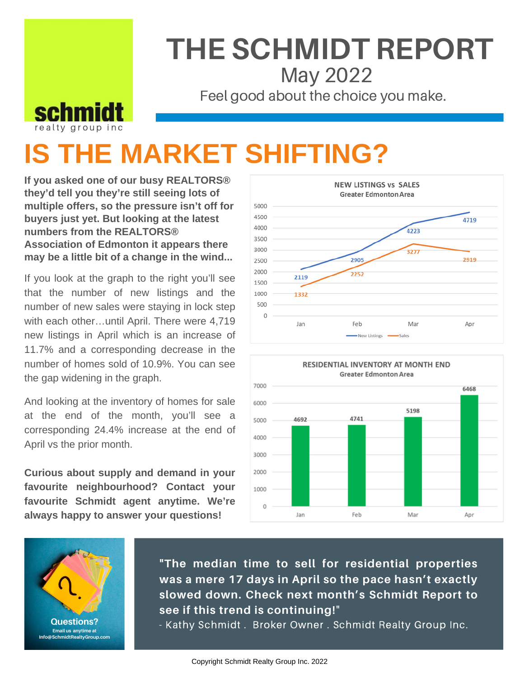## **THE SCHMIDT REPORT** May 2022

Feel good about the choice you make.

## **IS THE MARKET SHIFTING?**

**If you asked one of our busy REALTORS® they'd tell you they're still seeing lots of multiple offers, so the pressure isn't off for buyers just yet. But looking at the latest numbers from the REALTORS® Association of Edmonton it appears there may be a little bit of a change in the wind...**

realty group inc

**schm** 

If you look at the graph to the right you'll see that the number of new listings and the number of new sales were staying in lock step with each other…until April. There were 4,719 new listings in April which is an increase of 11.7% and a corresponding decrease in the number of homes sold of 10.9%. You can see the gap widening in the graph.

And looking at the inventory of homes for sale at the end of the month, you'll see a corresponding 24.4% increase at the end of April vs the prior month.

**Curious about supply and demand in your favourite neighbourhood? Contact your favourite Schmidt agent anytime. We're always happy to answer your questions!**







**"The median time to sell for residential properties was a mere 17 days in April so the pace hasn't exactly slowed down. Check next month's Schmidt Report to see if this trend is continuing!**"

- Kathy Schmidt . Broker Owner . Schmidt Realty Group Inc.